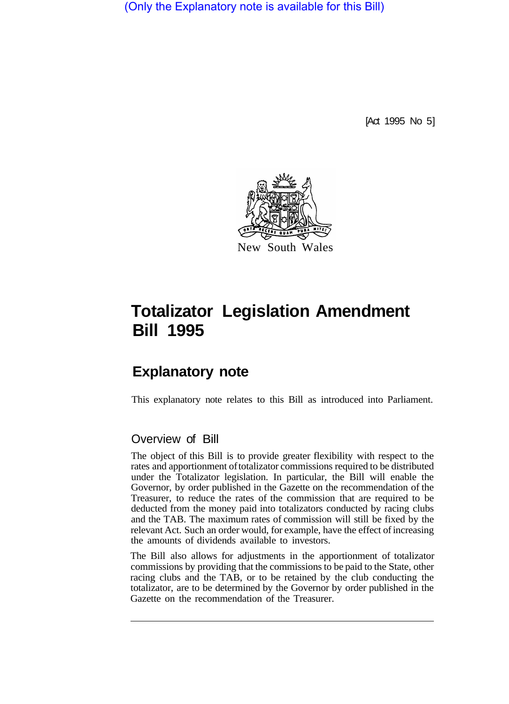(Only the Explanatory note is available for this Bill)

[Act 1995 No 5]



# **Totalizator Legislation Amendment Bill 1995**

## **Explanatory note**

This explanatory note relates to this Bill as introduced into Parliament.

### Overview of Bill

The object of this Bill is to provide greater flexibility with respect to the rates and apportionment of totalizator commissions required to be distributed under the Totalizator legislation. In particular, the Bill will enable the Governor, by order published in the Gazette on the recommendation of the Treasurer, to reduce the rates of the commission that are required to be deducted from the money paid into totalizators conducted by racing clubs and the TAB. The maximum rates of commission will still be fixed by the relevant Act. Such an order would, for example, have the effect of increasing the amounts of dividends available to investors.

The Bill also allows for adjustments in the apportionment of totalizator commissions by providing that the commissions to be paid to the State, other racing clubs and the TAB, or to be retained by the club conducting the totalizator, are to be determined by the Governor by order published in the Gazette on the recommendation of the Treasurer.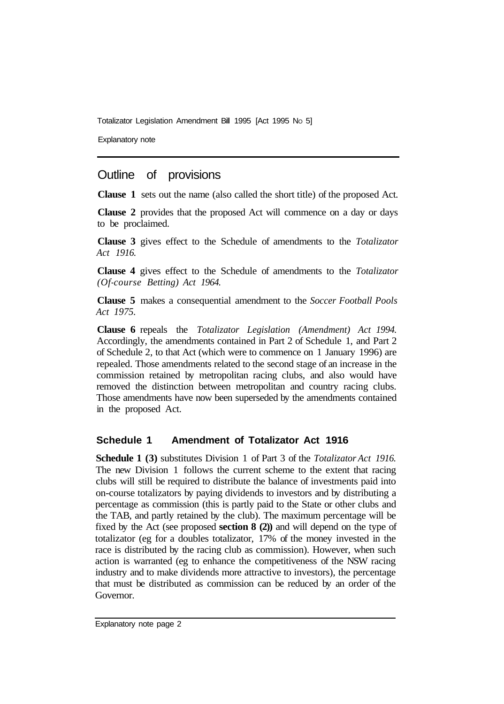Totalizator Legislation Amendment Bill 1995 [Act 1995 No 5]

Explanatory note

#### Outline of provisions

**Clause 1** sets out the name (also called the short title) of the proposed Act.

**Clause 2** provides that the proposed Act will commence on a day or days to be proclaimed.

**Clause 3** gives effect to the Schedule of amendments to the *Totalizator Act 1916.* 

**Clause 4** gives effect to the Schedule of amendments to the *Totalizator (Of-course Betting) Act 1964.* 

**Clause 5** makes a consequential amendment to the *Soccer Football Pools Act 1975.* 

**Clause 6** repeals the *Totalizator Legislation (Amendment) Act 1994.*  Accordingly, the amendments contained in Part 2 of Schedule 1, and Part 2 of Schedule 2, to that Act (which were to commence on 1 January 1996) are repealed. Those amendments related to the second stage of an increase in the commission retained by metropolitan racing clubs, and also would have removed the distinction between metropolitan and country racing clubs. Those amendments have now been superseded by the amendments contained in the proposed Act.

#### **Schedule 1 Amendment of Totalizator Act 1916**

**Schedule 1 (3)** substitutes Division 1 of Part 3 of the *Totalizator Act 1916.*  The new Division 1 follows the current scheme to the extent that racing clubs will still be required to distribute the balance of investments paid into on-course totalizators by paying dividends to investors and by distributing a percentage as commission (this is partly paid to the State or other clubs and the TAB, and partly retained by the club). The maximum percentage will be fixed by the Act (see proposed **section 8 (2))** and will depend on the type of totalizator (eg for a doubles totalizator, 17% of the money invested in the race is distributed by the racing club as commission). However, when such action is warranted (eg to enhance the competitiveness of the NSW racing industry and to make dividends more attractive to investors), the percentage that must be distributed as commission can be reduced by an order of the Governor.